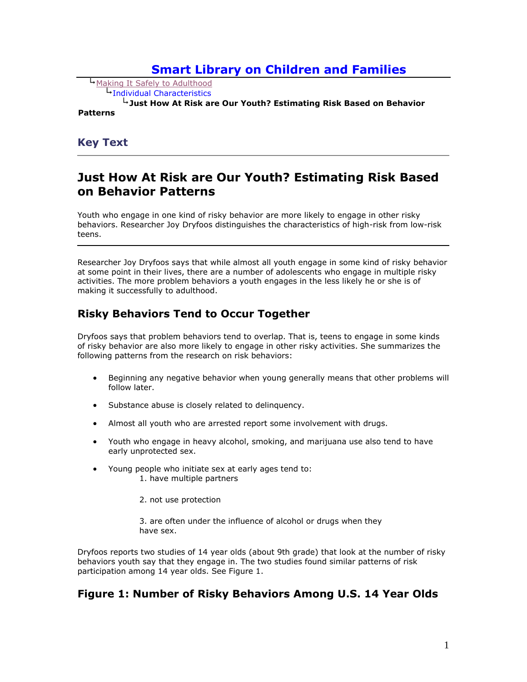# **[Smart Library on Children and Families](http://www.children.smartlibrary.org/NewInterface/topics.cfm?room_id=1040)**

 [Making It Safely to Adulthood](http://www.children.smartlibrary.org/NewInterface/topics.cfm?room_id=1040&topic=1125) [Individual Characteristics](http://www.children.smartlibrary.org/NewInterface/headline.cfm?table_of_contents=1496) 

**Just How At Risk are Our Youth? Estimating Risk Based on Behavior** 

#### **Patterns**

#### **Key Text**

# **Just How At Risk are Our Youth? Estimating Risk Based on Behavior Patterns**

Youth who engage in one kind of risky behavior are more likely to engage in other risky behaviors. Researcher Joy Dryfoos distinguishes the characteristics of high-risk from low-risk teens.

Researcher Joy Dryfoos says that while almost all youth engage in some kind of risky behavior at some point in their lives, there are a number of adolescents who engage in multiple risky activities. The more problem behaviors a youth engages in the less likely he or she is of making it successfully to adulthood.

## **Risky Behaviors Tend to Occur Together**

Dryfoos says that problem behaviors tend to overlap. That is, teens to engage in some kinds of risky behavior are also more likely to engage in other risky activities. She summarizes the following patterns from the research on risk behaviors:

- Beginning any negative behavior when young generally means that other problems will follow later.
- Substance abuse is closely related to delinguency.
- Almost all youth who are arrested report some involvement with drugs.
- Youth who engage in heavy alcohol, smoking, and marijuana use also tend to have early unprotected sex.
- Young people who initiate sex at early ages tend to: 1. have multiple partners

2. not use protection

3. are often under the influence of alcohol or drugs when they have sex.

Dryfoos reports two studies of 14 year olds (about 9th grade) that look at the number of risky behaviors youth say that they engage in. The two studies found similar patterns of risk participation among 14 year olds. See Figure 1.

## **Figure 1: Number of Risky Behaviors Among U.S. 14 Year Olds**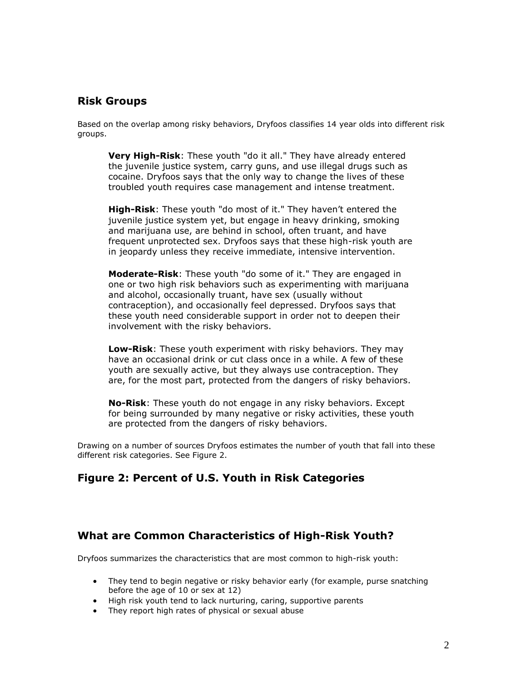## **Risk Groups**

Based on the overlap among risky behaviors, Dryfoos classifies 14 year olds into different risk groups.

**Very High-Risk**: These youth "do it all." They have already entered the juvenile justice system, carry guns, and use illegal drugs such as cocaine. Dryfoos says that the only way to change the lives of these troubled youth requires case management and intense treatment.

**High-Risk**: These youth "do most of it." They haven't entered the juvenile justice system yet, but engage in heavy drinking, smoking and marijuana use, are behind in school, often truant, and have frequent unprotected sex. Dryfoos says that these high-risk youth are in jeopardy unless they receive immediate, intensive intervention.

**Moderate-Risk**: These youth "do some of it." They are engaged in one or two high risk behaviors such as experimenting with marijuana and alcohol, occasionally truant, have sex (usually without contraception), and occasionally feel depressed. Dryfoos says that these youth need considerable support in order not to deepen their involvement with the risky behaviors.

**Low-Risk**: These youth experiment with risky behaviors. They may have an occasional drink or cut class once in a while. A few of these youth are sexually active, but they always use contraception. They are, for the most part, protected from the dangers of risky behaviors.

**No-Risk**: These youth do not engage in any risky behaviors. Except for being surrounded by many negative or risky activities, these youth are protected from the dangers of risky behaviors.

Drawing on a number of sources Dryfoos estimates the number of youth that fall into these different risk categories. See Figure 2.

## **Figure 2: Percent of U.S. Youth in Risk Categories**

#### **What are Common Characteristics of High-Risk Youth?**

Dryfoos summarizes the characteristics that are most common to high-risk youth:

- They tend to begin negative or risky behavior early (for example, purse snatching before the age of 10 or sex at 12)
- High risk youth tend to lack nurturing, caring, supportive parents
- They report high rates of physical or sexual abuse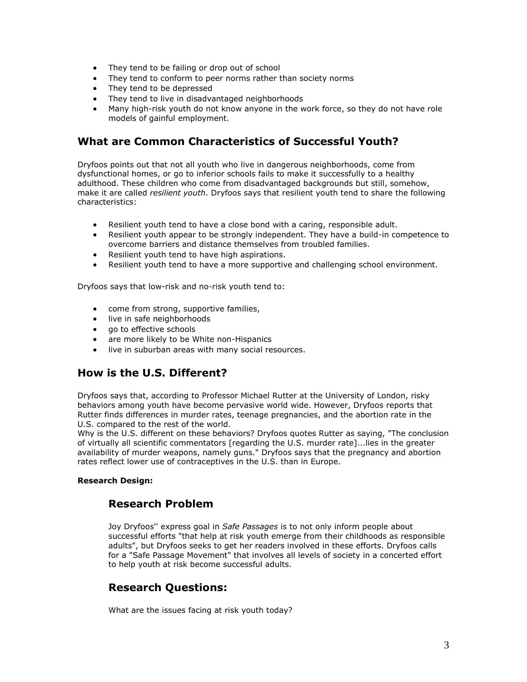- They tend to be failing or drop out of school
- They tend to conform to peer norms rather than society norms
- They tend to be depressed
- They tend to live in disadvantaged neighborhoods
- Many high-risk youth do not know anyone in the work force, so they do not have role models of gainful employment.

## **What are Common Characteristics of Successful Youth?**

Dryfoos points out that not all youth who live in dangerous neighborhoods, come from dysfunctional homes, or go to inferior schools fails to make it successfully to a healthy adulthood. These children who come from disadvantaged backgrounds but still, somehow, make it are called *resilient youth*. Dryfoos says that resilient youth tend to share the following characteristics:

- Resilient youth tend to have a close bond with a caring, responsible adult.
- Resilient youth appear to be strongly independent. They have a build-in competence to overcome barriers and distance themselves from troubled families.
- Resilient youth tend to have high aspirations.
- Resilient youth tend to have a more supportive and challenging school environment.

Dryfoos says that low-risk and no-risk youth tend to:

- come from strong, supportive families,
- live in safe neighborhoods
- ao to effective schools
- are more likely to be White non-Hispanics
- live in suburban areas with many social resources.

## **How is the U.S. Different?**

Dryfoos says that, according to Professor Michael Rutter at the University of London, risky behaviors among youth have become pervasive world wide. However, Dryfoos reports that Rutter finds differences in murder rates, teenage pregnancies, and the abortion rate in the U.S. compared to the rest of the world.

Why is the U.S. different on these behaviors? Dryfoos quotes Rutter as saying, "The conclusion of virtually all scientific commentators [regarding the U.S. murder rate]...lies in the greater availability of murder weapons, namely guns." Dryfoos says that the pregnancy and abortion rates reflect lower use of contraceptives in the U.S. than in Europe.

#### **Research Design:**

## **Research Problem**

Joy Dryfoos'' express goal in *Safe Passages* is to not only inform people about successful efforts "that help at risk youth emerge from their childhoods as responsible adults", but Dryfoos seeks to get her readers involved in these efforts. Dryfoos calls for a "Safe Passage Movement" that involves all levels of society in a concerted effort to help youth at risk become successful adults.

## **Research Questions:**

What are the issues facing at risk youth today?